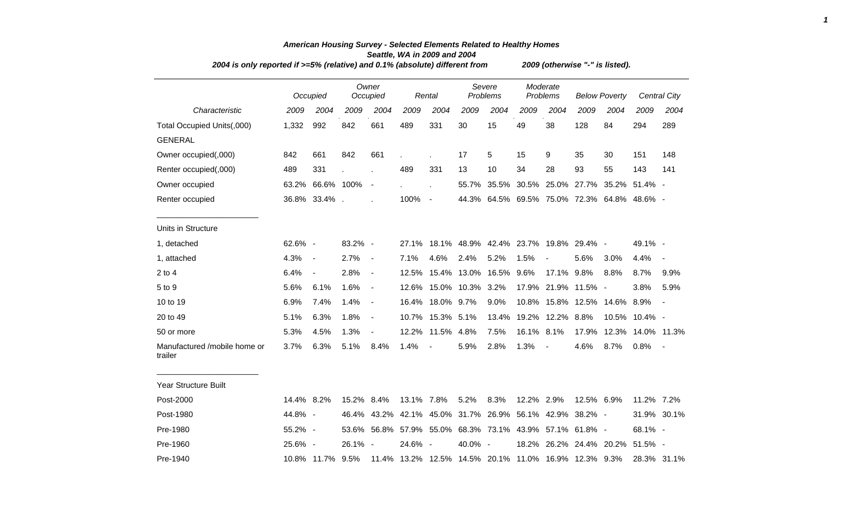| 2004 is only reported if >=5% (relative) and 0.1% (absolute) different from | 2009 (otherwise "-" is listed). |                          |            |                          |            |                          |                  |                                                         |                      |                          |                      |                         |                                             |                     |
|-----------------------------------------------------------------------------|---------------------------------|--------------------------|------------|--------------------------|------------|--------------------------|------------------|---------------------------------------------------------|----------------------|--------------------------|----------------------|-------------------------|---------------------------------------------|---------------------|
|                                                                             |                                 | Occupied                 |            | Owner<br>Occupied        |            | Rental                   |                  | Severe<br>Problems                                      | Moderate<br>Problems |                          | <b>Below Poverty</b> |                         |                                             | <b>Central City</b> |
| Characteristic                                                              | 2009                            | 2004                     | 2009       | 2004                     | 2009       | 2004                     | 2009             | 2004                                                    | 2009                 | 2004                     | 2009                 | 2004                    | 2009                                        | 2004                |
| Total Occupied Units(,000)                                                  | 1,332                           | 992                      | 842        | 661                      | 489        | 331                      | 30               | 15                                                      | 49                   | 38                       | 128                  | 84                      | 294                                         | 289                 |
| <b>GENERAL</b>                                                              |                                 |                          |            |                          |            |                          |                  |                                                         |                      |                          |                      |                         |                                             |                     |
| Owner occupied(,000)                                                        | 842                             | 661                      | 842        | 661                      |            |                          | 17               | 5                                                       | 15                   | 9                        | 35                   | 30                      | 151                                         | 148                 |
| Renter occupied(,000)                                                       | 489                             | 331                      |            |                          | 489        | 331                      | 13               | 10                                                      | 34                   | 28                       | 93                   | 55                      | 143                                         | 141                 |
| Owner occupied                                                              | 63.2%                           | 66.6% 100%               |            | $\overline{\phantom{a}}$ |            |                          |                  |                                                         |                      |                          |                      |                         | 55.7% 35.5% 30.5% 25.0% 27.7% 35.2% 51.4% - |                     |
| Renter occupied                                                             |                                 | 36.8% 33.4%.             |            |                          | 100%       | $\blacksquare$           |                  |                                                         |                      |                          |                      |                         | 44.3% 64.5% 69.5% 75.0% 72.3% 64.8% 48.6% - |                     |
| Units in Structure                                                          |                                 |                          |            |                          |            |                          |                  |                                                         |                      |                          |                      |                         |                                             |                     |
| 1, detached                                                                 | 62.6% -                         |                          | 83.2% -    |                          | 27.1%      |                          |                  | 18.1% 48.9% 42.4% 23.7% 19.8% 29.4% -                   |                      |                          |                      |                         | 49.1% -                                     |                     |
| 1, attached                                                                 | 4.3%                            | $\overline{\phantom{a}}$ | 2.7%       | $\blacksquare$           | 7.1%       | 4.6%                     | 2.4%             | 5.2%                                                    | 1.5%                 |                          | 5.6%                 | 3.0%                    | 4.4%                                        |                     |
| 2 to 4                                                                      | 6.4%                            | $\overline{\phantom{a}}$ | 2.8%       | $\blacksquare$           | 12.5%      |                          | 15.4% 13.0%      | 16.5% 9.6%                                              |                      | 17.1% 9.8%               |                      | 8.8%                    | 8.7%                                        | 9.9%                |
| 5 to 9                                                                      | 5.6%                            | 6.1%                     | 1.6%       | $\blacksquare$           | 12.6%      |                          | 15.0% 10.3% 3.2% |                                                         |                      | 17.9% 21.9% 11.5% -      |                      |                         | 3.8%                                        | 5.9%                |
| 10 to 19                                                                    | 6.9%                            | 7.4%                     | 1.4%       | $\blacksquare$           |            | 16.4% 18.0% 9.7%         |                  | 9.0%                                                    |                      |                          |                      | 10.8% 15.8% 12.5% 14.6% | 8.9%                                        | $\blacksquare$      |
| 20 to 49                                                                    | 5.1%                            | 6.3%                     | 1.8%       | $\blacksquare$           |            | 10.7% 15.3% 5.1%         |                  |                                                         |                      | 13.4% 19.2% 12.2% 8.8%   |                      |                         | 10.5% 10.4% -                               |                     |
| 50 or more                                                                  | 5.3%                            | 4.5%                     | 1.3%       | $\overline{a}$           | 12.2%      | 11.5%                    | 4.8%             | 7.5%                                                    | 16.1% 8.1%           |                          |                      |                         | 17.9% 12.3% 14.0% 11.3%                     |                     |
| Manufactured /mobile home or<br>trailer                                     | 3.7%                            | 6.3%                     | 5.1%       | 8.4%                     | 1.4%       | $\overline{\phantom{a}}$ | 5.9%             | 2.8%                                                    | 1.3%                 | $\overline{\phantom{a}}$ | 4.6%                 | 8.7%                    | 0.8%                                        |                     |
| <b>Year Structure Built</b>                                                 |                                 |                          |            |                          |            |                          |                  |                                                         |                      |                          |                      |                         |                                             |                     |
| Post-2000                                                                   | 14.4% 8.2%                      |                          | 15.2% 8.4% |                          | 13.1% 7.8% |                          | 5.2%             | 8.3%                                                    | 12.2% 2.9%           |                          | 12.5% 6.9%           |                         | 11.2% 7.2%                                  |                     |
| Post-1980                                                                   | 44.8% -                         |                          |            |                          |            |                          |                  | 46.4% 43.2% 42.1% 45.0% 31.7% 26.9% 56.1% 42.9% 38.2% - |                      |                          |                      |                         |                                             | 31.9% 30.1%         |
| Pre-1980                                                                    | 55.2% -                         |                          |            |                          |            |                          |                  | 53.6% 56.8% 57.9% 55.0% 68.3% 73.1% 43.9% 57.1% 61.8% - |                      |                          |                      |                         | 68.1% -                                     |                     |
| Pre-1960                                                                    | 25.6% -                         |                          | 26.1% -    |                          | 24.6% -    |                          | 40.0% -          |                                                         |                      |                          |                      | 18.2% 26.2% 24.4% 20.2% | 51.5% -                                     |                     |
| Pre-1940                                                                    |                                 | 10.8% 11.7% 9.5%         |            |                          |            |                          |                  | 11.4% 13.2% 12.5% 14.5% 20.1% 11.0% 16.9% 12.3% 9.3%    |                      |                          |                      |                         |                                             | 28.3% 31.1%         |

## *American Housing Survey - Selected Elements Related to Healthy Homes Seattle, WA in 2009 and 2004*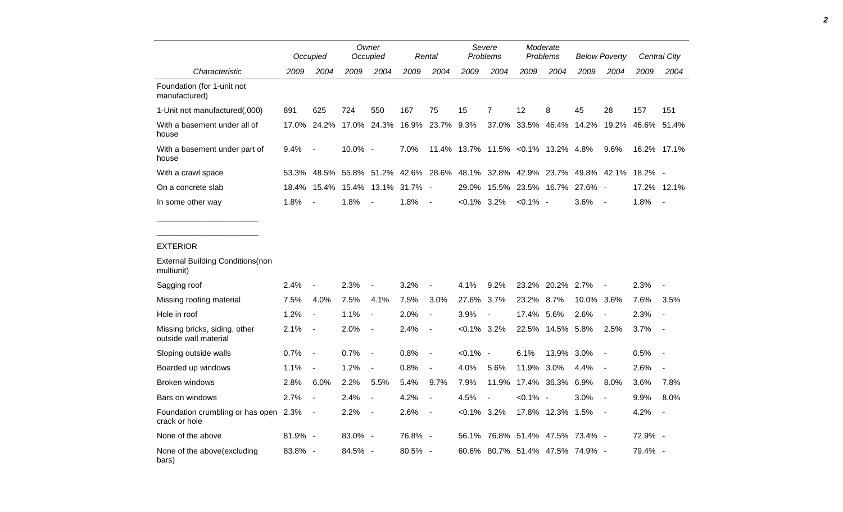|                                                        |       | Occupied                 |         | Owner<br>Occupied        |            | Rental                   |                | Severe<br>Problems                  | Moderate<br>Problems |                  | <b>Below Poverty</b> |                          |         | Central City             |
|--------------------------------------------------------|-------|--------------------------|---------|--------------------------|------------|--------------------------|----------------|-------------------------------------|----------------------|------------------|----------------------|--------------------------|---------|--------------------------|
| Characteristic                                         | 2009  | 2004                     | 2009    | 2004                     | 2009       | 2004                     | 2009           | 2004                                | 2009                 | 2004             | 2009                 | 2004                     | 2009    | 2004                     |
| Foundation (for 1-unit not<br>manufactured)            |       |                          |         |                          |            |                          |                |                                     |                      |                  |                      |                          |         |                          |
| 1-Unit not manufactured(,000)                          | 891   | 625                      | 724     | 550                      | 167        | 75                       | 15             | $\overline{7}$                      | 12                   | 8                | 45                   | 28                       | 157     | 151                      |
| With a basement under all of<br>house                  | 17.0% | 24.2%                    | 17.0%   | 24.3%                    | 16.9%      | 23.7%                    | 9.3%           | 37.0%                               | 33.5%                | 46.4%            | 14.2%                | 19.2%                    | 46.6%   | 51.4%                    |
| With a basement under part of<br>house                 | 9.4%  | $\overline{\phantom{a}}$ | 10.0% - |                          | 7.0%       |                          |                | 11.4% 13.7% 11.5% < 0.1% 13.2% 4.8% |                      |                  |                      | 9.6%                     |         | 16.2% 17.1%              |
| With a crawl space                                     | 53.3% | 48.5%                    | 55.8%   | 51.2%                    |            | 42.6% 28.6%              |                | 48.1% 32.8%                         | 42.9%                | 23.7%            |                      | 49.8% 42.1%              | 18.2% - |                          |
| On a concrete slab                                     | 18.4% | 15.4%                    | 15.4%   | 13.1%                    | $31.7\%$ - |                          | 29.0%          | 15.5%                               | 23.5%                | 16.7%            | 27.6% -              |                          | 17.2%   | 12.1%                    |
| In some other way                                      | 1.8%  |                          | 1.8%    |                          | 1.8%       | $\overline{\phantom{a}}$ | $< 0.1\%$ 3.2% |                                     | $< 0.1\%$ -          |                  | 3.6%                 | $\overline{\phantom{a}}$ | 1.8%    | $\overline{\phantom{a}}$ |
|                                                        |       |                          |         |                          |            |                          |                |                                     |                      |                  |                      |                          |         |                          |
|                                                        |       |                          |         |                          |            |                          |                |                                     |                      |                  |                      |                          |         |                          |
| <b>EXTERIOR</b>                                        |       |                          |         |                          |            |                          |                |                                     |                      |                  |                      |                          |         |                          |
| <b>External Building Conditions (non</b><br>multiunit) |       |                          |         |                          |            |                          |                |                                     |                      |                  |                      |                          |         |                          |
| Sagging roof                                           | 2.4%  |                          | 2.3%    |                          | 3.2%       |                          | 4.1%           | 9.2%                                |                      | 23.2% 20.2% 2.7% |                      |                          | 2.3%    |                          |
| Missing roofing material                               | 7.5%  | 4.0%                     | 7.5%    | 4.1%                     | 7.5%       | 3.0%                     | 27.6% 3.7%     |                                     | 23.2% 8.7%           |                  | 10.0% 3.6%           |                          | 7.6%    | 3.5%                     |
| Hole in roof                                           | 1.2%  | $\overline{\phantom{a}}$ | 1.1%    | $\overline{a}$           | 2.0%       | $\overline{\phantom{a}}$ | 3.9%           | $\overline{\phantom{a}}$            | 17.4% 5.6%           |                  | 2.6%                 |                          | 2.3%    | $\overline{\phantom{a}}$ |
| Missing bricks, siding, other<br>outside wall material | 2.1%  | $\overline{\phantom{a}}$ | 2.0%    | $\blacksquare$           | 2.4%       | $\blacksquare$           | $< 0.1\%$ 3.2% |                                     | 22.5%                | 14.5%            | 5.8%                 | 2.5%                     | 3.7%    | $\overline{\phantom{a}}$ |
| Sloping outside walls                                  | 0.7%  | $\overline{\phantom{a}}$ | 0.7%    | $\blacksquare$           | 0.8%       | $\overline{\phantom{a}}$ | $< 0.1\%$ -    |                                     | 6.1%                 | 13.9%            | 3.0%                 | $\overline{\phantom{0}}$ | 0.5%    |                          |
| Boarded up windows                                     | 1.1%  | $\overline{\phantom{a}}$ | 1.2%    | $\overline{\phantom{a}}$ | 0.8%       | $\overline{\phantom{a}}$ | 4.0%           | 5.6%                                | 11.9%                | 3.0%             | 4.4%                 | $\overline{\phantom{0}}$ | 2.6%    | $\overline{\phantom{a}}$ |
| <b>Broken windows</b>                                  | 2.8%  | 6.0%                     | 2.2%    | 5.5%                     | 5.4%       | 9.7%                     | 7.9%           | 11.9%                               | 17.4%                | 36.3%            | 6.9%                 | 8.0%                     | 3.6%    | 7.8%                     |

Bars on windows 2.7% - 2.4% - 4.2% - 4.5% - <0.1% - 3.0% - 9.9% 8.0% Foundation crumbling or has open 2.3% -2.3% - 2.2% - 2.6% - <0.1% 3.2% 17.8% 12.3% 1.5% - 4.2% -

crack or hole

None of the above 81.9% - 83.0% - 76.8% - 56.1% 76.8% 51.4% 47.5% 73.4% - 72.9% -None of the above(excluding bars) 83.8% - 84.5% - 80.5% - 60.6% 80.7% 51.4% 47.5% 74.9% - 79.4% - *2*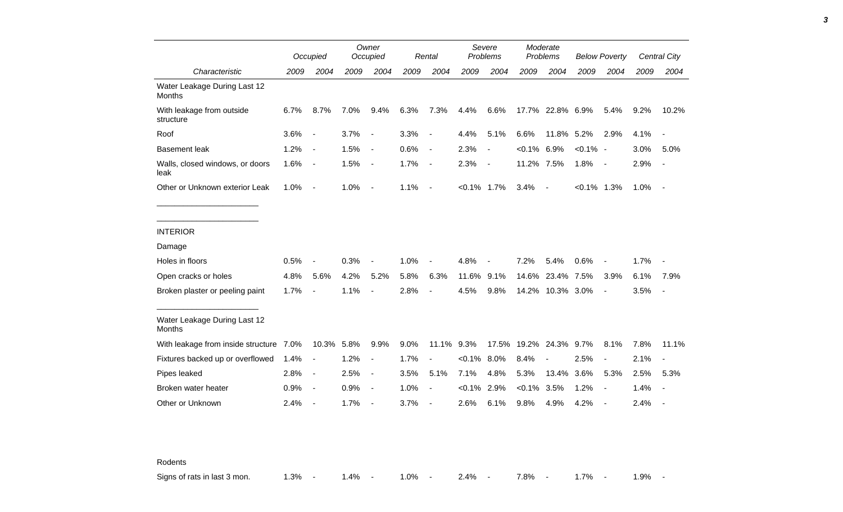|                                         |      | Occupied                 |      | Owner<br>Occupied        |      | Rental                   |                | Severe<br>Problems       |               | Moderate<br>Problems |                | <b>Below Poverty</b>     |      | Central City             |
|-----------------------------------------|------|--------------------------|------|--------------------------|------|--------------------------|----------------|--------------------------|---------------|----------------------|----------------|--------------------------|------|--------------------------|
| Characteristic                          | 2009 | 2004                     | 2009 | 2004                     | 2009 | 2004                     | 2009           | 2004                     | 2009          | 2004                 | 2009           | 2004                     | 2009 | 2004                     |
| Water Leakage During Last 12<br>Months  |      |                          |      |                          |      |                          |                |                          |               |                      |                |                          |      |                          |
| With leakage from outside<br>structure  | 6.7% | 8.7%                     | 7.0% | 9.4%                     | 6.3% | 7.3%                     | 4.4%           | 6.6%                     |               | 17.7% 22.8% 6.9%     |                | 5.4%                     | 9.2% | 10.2%                    |
| Roof                                    | 3.6% | $\overline{\phantom{a}}$ | 3.7% | $\blacksquare$           | 3.3% | $\blacksquare$           | 4.4%           | 5.1%                     | 6.6%          | 11.8%                | 5.2%           | 2.9%                     | 4.1% |                          |
| <b>Basement leak</b>                    | 1.2% | $\overline{\phantom{a}}$ | 1.5% | $\blacksquare$           | 0.6% | $\blacksquare$           | 2.3%           | $\overline{\phantom{a}}$ | $<0.1\%$ 6.9% |                      | $< 0.1\%$ -    |                          | 3.0% | 5.0%                     |
| Walls, closed windows, or doors<br>leak | 1.6% | $\overline{\phantom{a}}$ | 1.5% | $\overline{\phantom{a}}$ | 1.7% | $\overline{\phantom{a}}$ | 2.3%           | $\sim$                   | 11.2% 7.5%    |                      | 1.8%           | $\sim$                   | 2.9% | $\overline{\phantom{a}}$ |
| Other or Unknown exterior Leak          | 1.0% | $\sim$                   | 1.0% | $\blacksquare$           | 1.1% | $\blacksquare$           | $< 0.1\%$ 1.7% |                          | 3.4%          | $\overline{a}$       | $< 0.1\%$ 1.3% |                          | 1.0% | $\sim$                   |
| <b>INTERIOR</b>                         |      |                          |      |                          |      |                          |                |                          |               |                      |                |                          |      |                          |
| Damage                                  |      |                          |      |                          |      |                          |                |                          |               |                      |                |                          |      |                          |
| Holes in floors                         | 0.5% | $\overline{\phantom{a}}$ | 0.3% | $\overline{\phantom{a}}$ | 1.0% |                          | 4.8%           |                          | 7.2%          | 5.4%                 | 0.6%           | $\overline{\phantom{a}}$ | 1.7% |                          |
| Open cracks or holes                    | 4.8% | 5.6%                     | 4.2% | 5.2%                     | 5.8% | 6.3%                     | 11.6%          | 9.1%                     | 14.6%         | 23.4%                | 7.5%           | 3.9%                     | 6.1% | 7.9%                     |
| Broken plaster or peeling paint         | 1.7% | $\blacksquare$           | 1.1% | $\overline{\phantom{a}}$ | 2.8% |                          | 4.5%           | 9.8%                     |               | 14.2% 10.3% 3.0%     |                | $\overline{\phantom{a}}$ | 3.5% | $\overline{\phantom{a}}$ |
| Water Leakage During Last 12<br>Months  |      |                          |      |                          |      |                          |                |                          |               |                      |                |                          |      |                          |
| With leakage from inside structure 7.0% |      | 10.3% 5.8%               |      | 9.9%                     | 9.0% | 11.1% 9.3%               |                | 17.5%                    |               | 19.2% 24.3% 9.7%     |                | 8.1%                     | 7.8% | 11.1%                    |
| Fixtures backed up or overflowed        | 1.4% | $\overline{\phantom{a}}$ | 1.2% | $\overline{\phantom{a}}$ | 1.7% | $\overline{a}$           | $< 0.1\%$ 8.0% |                          | 8.4%          |                      | 2.5%           | $\blacksquare$           | 2.1% |                          |
| Pipes leaked                            | 2.8% | $\blacksquare$           | 2.5% | $\blacksquare$           | 3.5% | 5.1%                     | 7.1%           | 4.8%                     | 5.3%          | 13.4%                | 3.6%           | 5.3%                     | 2.5% | 5.3%                     |
| Broken water heater                     | 0.9% | $\overline{\phantom{a}}$ | 0.9% | $\blacksquare$           | 1.0% |                          | < 0.1%         | 2.9%                     | $< 0.1\%$     | 3.5%                 | 1.2%           | $\overline{\phantom{a}}$ | 1.4% |                          |
| Other or Unknown                        | 2.4% | $\overline{\phantom{a}}$ | 1.7% | $\blacksquare$           | 3.7% | $\blacksquare$           | 2.6%           | 6.1%                     | 9.8%          | 4.9%                 | 4.2%           | $\overline{\phantom{a}}$ | 2.4% |                          |

Rodents

Signs of rats in last 3 mon. 1.3% - 1.4% - 1.0% - 2.4% - 7.8% - 1.7% - 1.9% -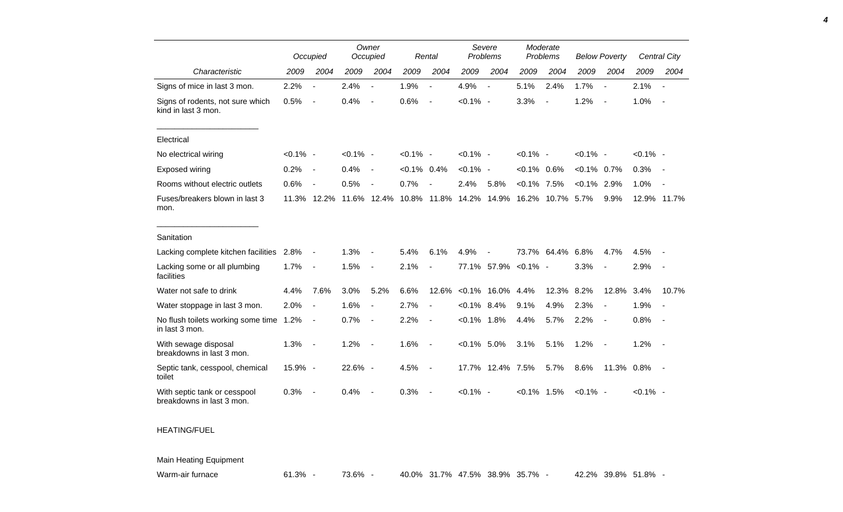|                                                           |             | Occupied                 |             | Owner<br>Occupied        |                | Rental                   | Severe<br>Problems |                          | Moderate<br>Problems |       | <b>Below Poverty</b> |                          |             | Central City             |
|-----------------------------------------------------------|-------------|--------------------------|-------------|--------------------------|----------------|--------------------------|--------------------|--------------------------|----------------------|-------|----------------------|--------------------------|-------------|--------------------------|
| Characteristic                                            | 2009        | 2004                     | 2009        | 2004                     | 2009           | 2004                     | 2009               | 2004                     | 2009                 | 2004  | 2009                 | 2004                     | 2009        | 2004                     |
| Signs of mice in last 3 mon.                              | 2.2%        | $\overline{\phantom{a}}$ | 2.4%        | $\blacksquare$           | 1.9%           | $\blacksquare$           | 4.9%               | $\overline{\phantom{a}}$ | 5.1%                 | 2.4%  | 1.7%                 | $\blacksquare$           | 2.1%        | $\sim$                   |
| Signs of rodents, not sure which<br>kind in last 3 mon.   | 0.5%        | $\overline{\phantom{a}}$ | 0.4%        | $\overline{\phantom{a}}$ | 0.6%           | $\overline{\phantom{a}}$ | $< 0.1\%$ -        |                          | 3.3%                 |       | 1.2%                 | $\overline{\phantom{a}}$ | 1.0%        | $\overline{\phantom{a}}$ |
| Electrical                                                |             |                          |             |                          |                |                          |                    |                          |                      |       |                      |                          |             |                          |
| No electrical wiring                                      | $< 0.1\%$ - |                          | $< 0.1\%$ - |                          | $< 0.1\%$ -    |                          | $< 0.1\%$ -        |                          | $< 0.1\%$ -          |       | $< 0.1\%$ -          |                          | $< 0.1\%$ - |                          |
| <b>Exposed wiring</b>                                     | 0.2%        | $\overline{\phantom{a}}$ | 0.4%        | $\overline{\phantom{a}}$ | $< 0.1\%$ 0.4% |                          | $< 0.1\%$ -        |                          | $< 0.1\%$ 0.6%       |       | $< 0.1\%$ 0.7%       |                          | 0.3%        |                          |
| Rooms without electric outlets                            | 0.6%        | $\overline{\phantom{a}}$ | 0.5%        |                          | 0.7%           |                          | 2.4%               | 5.8%                     | $< 0.1\%$            | 7.5%  | $< 0.1\%$ 2.9%       |                          | 1.0%        |                          |
| Fuses/breakers blown in last 3<br>mon.                    |             | 11.3% 12.2%              |             | 11.6% 12.4%              |                | 10.8% 11.8%              | 14.2%              | 14.9%                    | 16.2%                | 10.7% | 5.7%                 | 9.9%                     | 12.9% 11.7% |                          |
| Sanitation                                                |             |                          |             |                          |                |                          |                    |                          |                      |       |                      |                          |             |                          |
| Lacking complete kitchen facilities                       | 2.8%        |                          | 1.3%        |                          | 5.4%           | 6.1%                     | 4.9%               |                          | 73.7%                | 64.4% | 6.8%                 | 4.7%                     | 4.5%        |                          |
| Lacking some or all plumbing<br>facilities                | 1.7%        | $\overline{a}$           | 1.5%        | $\overline{\phantom{a}}$ | 2.1%           | $\blacksquare$           |                    | 77.1% 57.9% < 0.1% -     |                      |       | 3.3%                 |                          | 2.9%        |                          |
| Water not safe to drink                                   | 4.4%        | 7.6%                     | 3.0%        | 5.2%                     | 6.6%           | 12.6%                    | $< 0.1\%$          | 16.0%                    | 4.4%                 | 12.3% | 8.2%                 | 12.8%                    | 3.4%        | 10.7%                    |
| Water stoppage in last 3 mon.                             | 2.0%        | $\blacksquare$           | 1.6%        | $\overline{\phantom{a}}$ | 2.7%           | $\blacksquare$           | $< 0.1\%$          | 8.4%                     | 9.1%                 | 4.9%  | 2.3%                 | $\overline{\phantom{a}}$ | 1.9%        |                          |
| No flush toilets working some time 1.2%<br>in last 3 mon. |             | $\overline{\phantom{a}}$ | 0.7%        | $\blacksquare$           | 2.2%           | $\blacksquare$           | $< 0.1\%$ 1.8%     |                          | 4.4%                 | 5.7%  | 2.2%                 | $\overline{\phantom{a}}$ | 0.8%        | $\sim$                   |
| With sewage disposal<br>breakdowns in last 3 mon.         | 1.3%        | $\overline{\phantom{a}}$ | 1.2%        | $\overline{\phantom{a}}$ | 1.6%           | $\blacksquare$           | $< 0.1\%$ 5.0%     |                          | 3.1%                 | 5.1%  | 1.2%                 | $\overline{\phantom{a}}$ | 1.2%        |                          |
| Septic tank, cesspool, chemical<br>toilet                 | 15.9% -     |                          | 22.6% -     |                          | 4.5%           | $\overline{\phantom{a}}$ |                    | 17.7% 12.4% 7.5%         |                      | 5.7%  | 8.6%                 | 11.3% 0.8%               |             | $\sim$                   |
| With septic tank or cesspool<br>breakdowns in last 3 mon. | 0.3%        | $\overline{\phantom{a}}$ | 0.4%        |                          | 0.3%           |                          | $< 0.1\%$ -        |                          | $< 0.1\%$ 1.5%       |       | $< 0.1\%$ -          |                          | $< 0.1\%$ - |                          |

## HEATING/FUEL

Main Heating Equipment

Warm-air furnace 61.3% - 73.6% - 40.0% 31.7% 47.5% 38.9% 35.7% - 42.2% 39.8% 51.8% -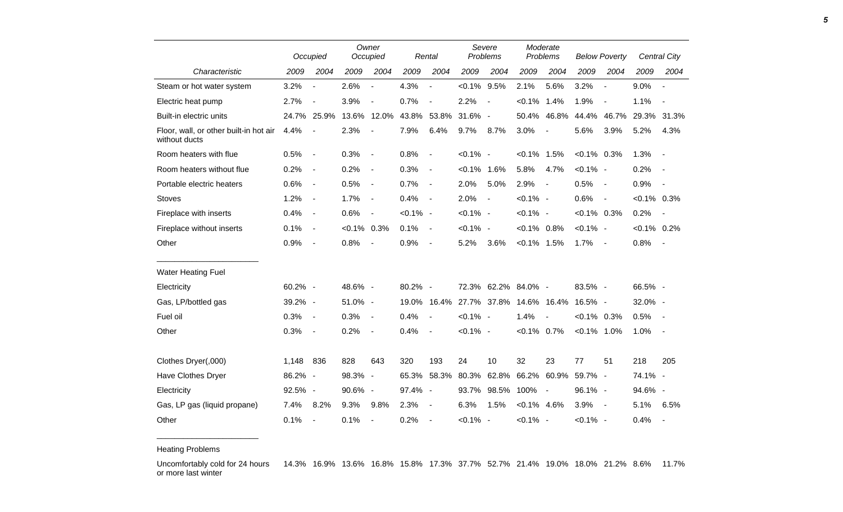|                                                         | Occupied |                              |           | Owner<br>Occupied        |             | Rental                   |             | Severe<br>Problems       |                | Moderate<br>Problems     |                | <b>Below Poverty</b>     |                | <b>Central City</b>      |
|---------------------------------------------------------|----------|------------------------------|-----------|--------------------------|-------------|--------------------------|-------------|--------------------------|----------------|--------------------------|----------------|--------------------------|----------------|--------------------------|
| Characteristic                                          | 2009     | 2004                         | 2009      | 2004                     | 2009        | 2004                     | 2009        | 2004                     | 2009           | 2004                     | 2009           | 2004                     | 2009           | 2004                     |
| Steam or hot water system                               | 3.2%     | $\blacksquare$               | 2.6%      | $\overline{\phantom{a}}$ | 4.3%        | $\frac{1}{2}$            | $< 0.1\%$   | 9.5%                     | 2.1%           | 5.6%                     | 3.2%           | $\overline{\phantom{a}}$ | 9.0%           | $\blacksquare$           |
| Electric heat pump                                      | 2.7%     | $\overline{\phantom{a}}$     | 3.9%      | $\overline{\phantom{a}}$ | 0.7%        | $\overline{\phantom{a}}$ | 2.2%        | $\overline{\phantom{a}}$ | $< 0.1\%$      | 1.4%                     | 1.9%           | $\blacksquare$           | 1.1%           | $\sim$                   |
| Built-in electric units                                 |          | 24.7% 25.9%                  |           | 13.6% 12.0%              | 43.8%       | 53.8%                    | 31.6% -     |                          | 50.4%          | 46.8%                    | 44.4%          | 46.7%                    |                | 29.3% 31.3%              |
| Floor, wall, or other built-in hot air<br>without ducts | 4.4%     | $\blacksquare$               | 2.3%      | $\blacksquare$           | 7.9%        | 6.4%                     | 9.7%        | 8.7%                     | 3.0%           | $\overline{\phantom{a}}$ | 5.6%           | 3.9%                     | 5.2%           | 4.3%                     |
| Room heaters with flue                                  | 0.5%     | $\overline{\phantom{a}}$     | 0.3%      | $\blacksquare$           | 0.8%        | $\overline{\phantom{a}}$ | $< 0.1\%$ - |                          | $< 0.1\%$      | 1.5%                     | $< 0.1\%$ 0.3% |                          | 1.3%           |                          |
| Room heaters without flue                               | 0.2%     | $\overline{\phantom{a}}$     | 0.2%      | $\overline{a}$           | 0.3%        | $\overline{\phantom{a}}$ | $< 0.1\%$   | 1.6%                     | 5.8%           | 4.7%                     | $< 0.1\%$ -    |                          | 0.2%           |                          |
| Portable electric heaters                               | 0.6%     | $\overline{\phantom{a}}$     | 0.5%      | $\blacksquare$           | 0.7%        | $\overline{\phantom{a}}$ | 2.0%        | 5.0%                     | 2.9%           | $\blacksquare$           | 0.5%           | $\sim$                   | 0.9%           | $\overline{\phantom{a}}$ |
| Stoves                                                  | 1.2%     | $\overline{\phantom{a}}$     | 1.7%      | $\blacksquare$           | 0.4%        | $\overline{\phantom{a}}$ | 2.0%        | $\blacksquare$           | $< 0.1\%$ -    |                          | 0.6%           | $\blacksquare$           | $<0.1\%$ 0.3%  |                          |
| Fireplace with inserts                                  | 0.4%     | $\overline{\phantom{a}}$     | 0.6%      | $\overline{\phantom{a}}$ | $< 0.1\%$ - |                          | $< 0.1\%$ - |                          | $< 0.1\%$ -    |                          | $< 0.1\%$ 0.3% |                          | 0.2%           | $\sim$                   |
| Fireplace without inserts                               | 0.1%     | $\overline{\phantom{a}}$     | $< 0.1\%$ | 0.3%                     | 0.1%        | $\blacksquare$           | $< 0.1\%$ - |                          | $< 0.1\%$ 0.8% |                          | $< 0.1\%$ -    |                          | $< 0.1\%$ 0.2% |                          |
| Other                                                   | 0.9%     | $\blacksquare$               | 0.8%      | $\overline{\phantom{a}}$ | 0.9%        | $\overline{\phantom{a}}$ | 5.2%        | 3.6%                     | $< 0.1\%$ 1.5% |                          | 1.7%           | $\overline{\phantom{a}}$ | 0.8%           | $\sim$                   |
| <b>Water Heating Fuel</b>                               |          |                              |           |                          |             |                          |             |                          |                |                          |                |                          |                |                          |
| Electricity                                             | 60.2% -  |                              | 48.6% -   |                          | 80.2% -     |                          |             | 72.3% 62.2% 84.0% -      |                |                          | 83.5% -        |                          | 66.5% -        |                          |
| Gas, LP/bottled gas                                     | 39.2% -  |                              | 51.0% -   |                          | 19.0%       |                          | 16.4% 27.7% | 37.8%                    | 14.6% 16.4%    |                          | 16.5% -        |                          | 32.0% -        |                          |
| Fuel oil                                                | 0.3%     | $\overline{\phantom{a}}$     | 0.3%      | $\blacksquare$           | 0.4%        | $\blacksquare$           | $< 0.1\%$ - |                          | 1.4%           | $\blacksquare$           | $< 0.1\%$ 0.3% |                          | 0.5%           | $\sim$                   |
| Other                                                   | 0.3%     | $\qquad \qquad \blacksquare$ | 0.2%      | $\overline{\phantom{a}}$ | 0.4%        | $\overline{\phantom{a}}$ | $< 0.1\%$ - |                          | $< 0.1\%$ 0.7% |                          | $< 0.1\%$ 1.0% |                          | 1.0%           | $\sim$                   |
| Clothes Dryer(,000)                                     | 1,148    | 836                          | 828       | 643                      | 320         | 193                      | 24          | 10                       | 32             | 23                       | 77             | 51                       | 218            | 205                      |
| Have Clothes Dryer                                      | 86.2% -  |                              | 98.3% -   |                          | 65.3%       | 58.3%                    | 80.3%       | 62.8%                    | 66.2%          | 60.9%                    | 59.7% -        |                          | 74.1% -        |                          |
| Electricity                                             | 92.5% -  |                              | 90.6% -   |                          | 97.4% -     |                          | 93.7%       | 98.5%                    | 100%           | $\overline{\phantom{a}}$ | 96.1% -        |                          | 94.6% -        |                          |
| Gas, LP gas (liquid propane)                            | 7.4%     | 8.2%                         | 9.3%      | 9.8%                     | 2.3%        | $\overline{\phantom{a}}$ | 6.3%        | 1.5%                     | $< 0.1\%$ 4.6% |                          | 3.9%           | $\sim$                   | 5.1%           | 6.5%                     |
| Other                                                   | 0.1%     | $\overline{a}$               | 0.1%      | $\overline{a}$           | 0.2%        | $\blacksquare$           | $< 0.1\%$ - |                          | $< 0.1\%$ -    |                          | $< 0.1\%$ -    |                          | 0.4%           |                          |

Heating Problems

\_\_\_\_\_\_\_\_\_\_\_\_\_\_\_\_\_\_\_\_\_\_\_

Uncomfortably cold for 24 hours or more last winter 14.3% 16.9% 13.6% 16.8% 15.8% 17.3% 37.7% 52.7% 21.4% 19.0% 18.0% 21.2% 8.6% 11.7%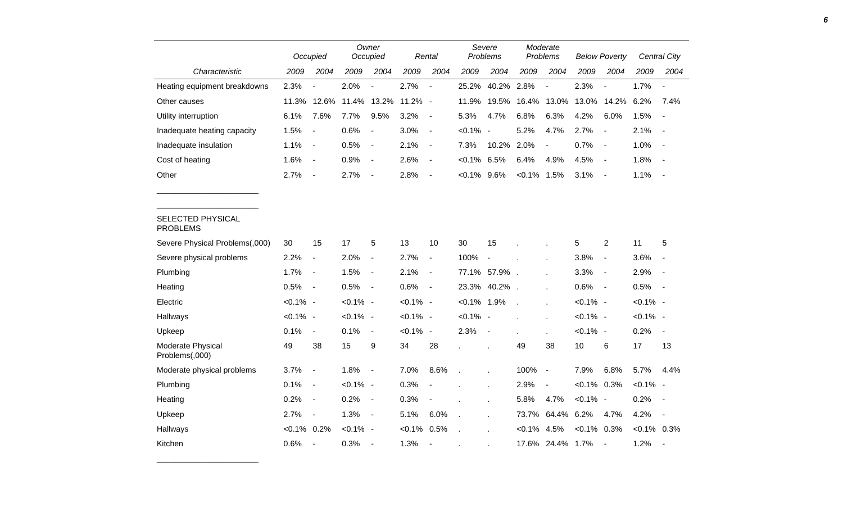|                                      |             | Occupied                     |             | Owner<br>Occupied            |             | Rental                   |             | Severe<br>Problems       |                | Moderate<br>Problems     |             | <b>Below Poverty</b>     |                | Central City             |
|--------------------------------------|-------------|------------------------------|-------------|------------------------------|-------------|--------------------------|-------------|--------------------------|----------------|--------------------------|-------------|--------------------------|----------------|--------------------------|
| Characteristic                       | 2009        | 2004                         | 2009        | 2004                         | 2009        | 2004                     | 2009        | 2004                     | 2009           | 2004                     | 2009        | 2004                     | 2009           | 2004                     |
| Heating equipment breakdowns         | 2.3%        | $\overline{a}$               | 2.0%        |                              | 2.7%        | $\blacksquare$           | 25.2%       | 40.2%                    | 2.8%           | $\overline{\phantom{a}}$ | 2.3%        | $\overline{\phantom{a}}$ | 1.7%           | $\overline{\phantom{a}}$ |
| Other causes                         | 11.3%       | 12.6%                        | 11.4%       | 13.2%                        | 11.2%       | $\overline{\phantom{a}}$ | 11.9%       | 19.5%                    | 16.4%          | 13.0%                    | 13.0%       | 14.2%                    | 6.2%           | 7.4%                     |
| Utility interruption                 | 6.1%        | 7.6%                         | 7.7%        | 9.5%                         | 3.2%        | $\overline{\phantom{a}}$ | 5.3%        | 4.7%                     | 6.8%           | 6.3%                     | 4.2%        | 6.0%                     | 1.5%           | $\overline{\phantom{a}}$ |
| Inadequate heating capacity          | 1.5%        | $\overline{a}$               | 0.6%        | $\overline{\phantom{a}}$     | 3.0%        | $\overline{\phantom{a}}$ | $<0.1\%$    | $\sim$                   | 5.2%           | 4.7%                     | 2.7%        | $\blacksquare$           | 2.1%           | $\overline{\phantom{a}}$ |
| Inadequate insulation                | 1.1%        | $\qquad \qquad \blacksquare$ | 0.5%        | $\qquad \qquad \blacksquare$ | 2.1%        | $\blacksquare$           | 7.3%        | 10.2%                    | 2.0%           | $\blacksquare$           | 0.7%        | $\overline{\phantom{a}}$ | 1.0%           |                          |
| Cost of heating                      | 1.6%        | $\blacksquare$               | 0.9%        | $\qquad \qquad \blacksquare$ | 2.6%        | $\overline{\phantom{a}}$ | $< 0.1\%$   | 6.5%                     | 6.4%           | 4.9%                     | 4.5%        | $\blacksquare$           | 1.8%           | $\overline{\phantom{a}}$ |
| Other                                | 2.7%        | $\overline{\phantom{a}}$     | 2.7%        | $\overline{\phantom{a}}$     | 2.8%        | $\overline{\phantom{a}}$ | $<0.1\%$    | 9.6%                     | $< 0.1\%$      | 1.5%                     | 3.1%        | $\overline{\phantom{a}}$ | 1.1%           | $\overline{\phantom{a}}$ |
|                                      |             |                              |             |                              |             |                          |             |                          |                |                          |             |                          |                |                          |
| SELECTED PHYSICAL<br><b>PROBLEMS</b> |             |                              |             |                              |             |                          |             |                          |                |                          |             |                          |                |                          |
| Severe Physical Problems(,000)       | 30          | 15                           | 17          | 5                            | 13          | 10                       | 30          | 15                       |                |                          | 5           | $\overline{c}$           | 11             | 5                        |
| Severe physical problems             | 2.2%        | $\blacksquare$               | 2.0%        | $\qquad \qquad \blacksquare$ | 2.7%        | $\overline{\phantom{a}}$ | 100%        | $\blacksquare$           |                |                          | 3.8%        | $\overline{\phantom{a}}$ | 3.6%           |                          |
| Plumbing                             | 1.7%        | $\blacksquare$               | 1.5%        | $\blacksquare$               | 2.1%        | $\blacksquare$           | 77.1%       | 57.9%.                   |                |                          | 3.3%        | $\overline{\phantom{a}}$ | 2.9%           | $\overline{\phantom{a}}$ |
| Heating                              | 0.5%        | $\blacksquare$               | 0.5%        | $\blacksquare$               | 0.6%        | $\overline{\phantom{a}}$ | 23.3%       | 40.2%                    |                |                          | 0.6%        | $\blacksquare$           | 0.5%           | $\overline{\phantom{a}}$ |
| Electric                             | $< 0.1\%$ - |                              | $< 0.1\%$ - |                              | $< 0.1\%$ - |                          | $< 0.1\%$   | 1.9%                     | $\overline{a}$ |                          | $< 0.1\%$ - |                          | $< 0.1\%$ -    |                          |
| Hallways                             | $< 0.1\%$ - |                              | $< 0.1\%$ - |                              | $< 0.1\%$ - |                          | $< 0.1\%$ - |                          |                |                          | $< 0.1\%$ - |                          | $< 0.1\%$ -    |                          |
| Upkeep                               | 0.1%        | $\blacksquare$               | 0.1%        | $\blacksquare$               | $< 0.1\%$ - |                          | 2.3%        | $\overline{\phantom{a}}$ |                |                          | $< 0.1\%$ - |                          | 0.2%           | $\overline{\phantom{a}}$ |
| Moderate Physical<br>Problems(,000)  | 49          | 38                           | 15          | 9                            | 34          | 28                       |             |                          | 49             | 38                       | 10          | 6                        | 17             | 13                       |
| Moderate physical problems           | 3.7%        | $\overline{\phantom{a}}$     | 1.8%        | $\qquad \qquad \blacksquare$ | 7.0%        | 8.6%                     |             |                          | 100%           | $\overline{\phantom{a}}$ | 7.9%        | 6.8%                     | 5.7%           | 4.4%                     |
| Plumbing                             | 0.1%        | $\overline{\phantom{a}}$     | $< 0.1\%$ - |                              | 0.3%        |                          |             |                          | 2.9%           | $\blacksquare$           | $< 0.1\%$   | 0.3%                     | $< 0.1\%$ -    |                          |
| Heating                              | 0.2%        | $\overline{\phantom{a}}$     | 0.2%        | $\blacksquare$               | 0.3%        |                          |             | ÷.                       | 5.8%           | 4.7%                     | $< 0.1\%$ - |                          | 0.2%           |                          |
| Upkeep                               | 2.7%        | $\blacksquare$               | 1.3%        | $\qquad \qquad \blacksquare$ | 5.1%        | 6.0%                     |             |                          | 73.7%          | 64.4%                    | 6.2%        | 4.7%                     | 4.2%           | $\overline{\phantom{a}}$ |
| Hallways                             | $< 0.1\%$   | 0.2%                         | $< 0.1\%$ - |                              | $< 0.1\%$   | 0.5%                     |             |                          | $< 0.1\%$      | 4.5%                     | $< 0.1\%$   | 0.3%                     | $< 0.1\%$ 0.3% |                          |
| Kitchen                              | 0.6%        | $\overline{\phantom{a}}$     | 0.3%        | $\blacksquare$               | 1.3%        | $\blacksquare$           |             |                          | 17.6%          | 24.4%                    | 1.7%        | $\overline{\phantom{a}}$ | 1.2%           | $\overline{\phantom{a}}$ |

\_\_\_\_\_\_\_\_\_\_\_\_\_\_\_\_\_\_\_\_\_\_\_